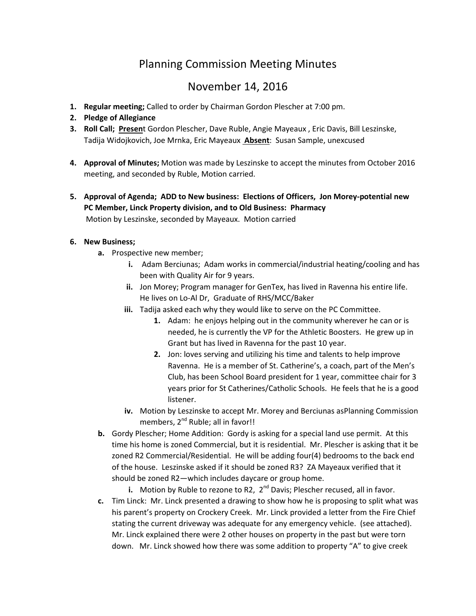## Planning Commission Meeting Minutes

## November 14, 2016

- 1. Regular meeting; Called to order by Chairman Gordon Plescher at 7:00 pm.
- 2. Pledge of Allegiance
- 3. Roll Call; Present Gordon Plescher, Dave Ruble, Angie Mayeaux, Eric Davis, Bill Leszinske, Tadija Widojkovich, Joe Mrnka, Eric Mayeaux Absent: Susan Sample, unexcused
- 4. Approval of Minutes; Motion was made by Leszinske to accept the minutes from October 2016 meeting, and seconded by Ruble, Motion carried.
- 5. Approval of Agenda; ADD to New business: Elections of Officers, Jon Morey-potential new PC Member, Linck Property division, and to Old Business: Pharmacy Motion by Leszinske, seconded by Mayeaux. Motion carried

## 6. New Business;

- a. Prospective new member;
	- i. Adam Berciunas; Adam works in commercial/industrial heating/cooling and has been with Quality Air for 9 years.
	- ii. Jon Morey; Program manager for GenTex, has lived in Ravenna his entire life. He lives on Lo-Al Dr, Graduate of RHS/MCC/Baker
	- iii. Tadija asked each why they would like to serve on the PC Committee.
		- 1. Adam: he enjoys helping out in the community wherever he can or is needed, he is currently the VP for the Athletic Boosters. He grew up in Grant but has lived in Ravenna for the past 10 year.
		- 2. Jon: loves serving and utilizing his time and talents to help improve Ravenna. He is a member of St. Catherine's, a coach, part of the Men's Club, has been School Board president for 1 year, committee chair for 3 years prior for St Catherines/Catholic Schools. He feels that he is a good listener.
	- iv. Motion by Leszinske to accept Mr. Morey and Berciunas asPlanning Commission members, 2<sup>nd</sup> Ruble; all in favor!!
- b. Gordy Plescher; Home Addition: Gordy is asking for a special land use permit. At this time his home is zoned Commercial, but it is residential. Mr. Plescher is asking that it be zoned R2 Commercial/Residential. He will be adding four(4) bedrooms to the back end of the house. Leszinske asked if it should be zoned R3? ZA Mayeaux verified that it should be zoned R2—which includes daycare or group home.
	- i. Motion by Ruble to rezone to R2,  $2^{nd}$  Davis; Plescher recused, all in favor.
- c. Tim Linck: Mr. Linck presented a drawing to show how he is proposing to split what was his parent's property on Crockery Creek. Mr. Linck provided a letter from the Fire Chief stating the current driveway was adequate for any emergency vehicle. (see attached). Mr. Linck explained there were 2 other houses on property in the past but were torn down. Mr. Linck showed how there was some addition to property "A" to give creek